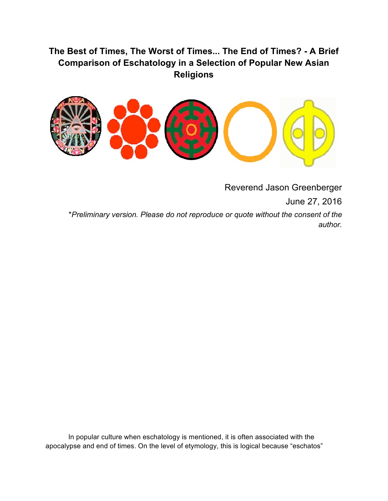# **The Best of Times, The Worst of Times... The End of Times? - A Brief Comparison of Eschatology in a Selection of Popular New Asian Religions**



Reverend Jason Greenberger

June 27, 2016

\**Preliminary version. Please do not reproduce or quote without the consent of the author.*

In popular culture when eschatology is mentioned, it is often associated with the apocalypse and end of times. On the level of etymology, this is logical because "eschatos"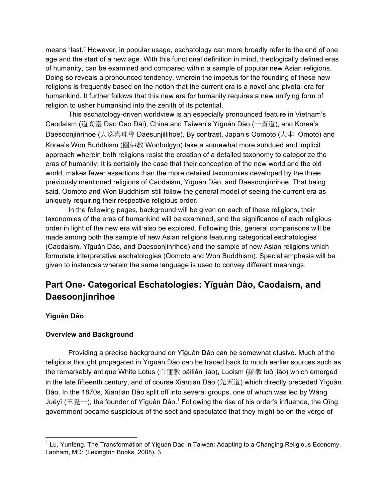means "last." However, in popular usage, eschatology can more broadly refer to the end of one age and the start of a new age. With this functional definition in mind, theologically defined eras of humanity, can be examined and compared within a sample of popular new Asian religions. Doing so reveals a pronounced tendency, wherein the impetus for the founding of these new religions is frequently based on the notion that the current era is a novel and pivotal era for humankind. It further follows that this new era for humanity requires a new unifying form of religion to usher humankind into the zenith of its potential.

This eschatology-driven worldview is an especially pronounced feature in Vietnam's Caodaism (道高臺 Đạo Cao Đài), China and Taiwan's Yīguàn Dào (一貫道), and Korea's Daesoonjinrihoe (大巡真理會 Daesunjillihoe). By contrast, Japan's Oomoto (大本 Ōmoto) and Korea's Won Buddhism (圓佛教 Wonbulgyo) take a somewhat more subdued and implicit approach wherein both religions resist the creation of a detailed taxonomy to categorize the eras of humanity. It is certainly the case that their conception of the new world and the old world, makes fewer assertions than the more detailed taxonomies developed by the three previously mentioned religions of Caodaism, Yīguàn Dào, and Daesoonjinrihoe. That being said, Oomoto and Won Buddhism still follow the general model of seeing the current era as uniquely requiring their respective religious order.

In the following pages, background will be given on each of these religions, their taxonomies of the eras of humankind will be examined, and the significance of each religious order in light of the new era will also be explored. Following this, general comparisons will be made among both the sample of new Asian religions featuring categorical eschatologies (Caodaism, Yīguàn Dào, and Daesoonjinrihoe) and the sample of new Asian religions which formulate interpretative eschatologies (Oomoto and Won Buddhism). Special emphasis will be given to instances wherein the same language is used to convey different meanings.

# **Part One- Categorical Eschatologies: Yīguàn Dào, Caodaism, and Daesoonjinrihoe**

# **Yīguàn Dào**

## **Overview and Background**

Providing a precise background on Yīguàn Dào can be somewhat elusive. Much of the religious thought propagated in Yīguàn Dào can be traced back to much earlier sources such as the remarkably antique White Lotus (白蓮教 báilián jiào), Luoism (羅教 luō jiào) which emerged in the late fifteenth century, and of course Xiāntiān Dào (先天道) which directly preceded Yīguàn Dào. In the 1870s, Xiāntiān Dào split off into several groups, one of which was led by Wáng Juéyī (王覺一), the founder of Yīguàn Dào.<sup>1</sup> Following the rise of his order's influence, the Qīng government became suspicious of the sect and speculated that they might be on the verge of

 $1$  Lu, Yunfeng. The Transformation of Yiguan Dao in Taiwan: Adapting to a Changing Religious Economy. Lanham, MD: (Lexington Books, 2008), 3.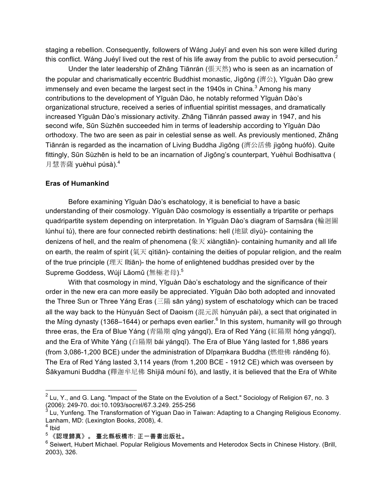staging a rebellion. Consequently, followers of Wáng Juéyī and even his son were killed during this conflict. Wáng Juéyī lived out the rest of his life away from the public to avoid persecution.<sup>2</sup>

Under the later leadership of Zhāng Tiānrán (張天然) who is seen as an incarnation of the popular and charismatically eccentric Buddhist monastic, Jìgōng (濟公), Yīguàn Dào grew immensely and even became the largest sect in the 1940s in China. $3$  Among his many contributions to the development of Yīguàn Dào, he notably reformed Yīguàn Dào's organizational structure, received a series of influential spiritist messages, and dramatically increased Yīguàn Dào's missionary activity. Zhāng Tiānrán passed away in 1947, and his second wife, Sūn Sùzhēn succeeded him in terms of leadership according to Yīguàn Dào orthodoxy. The two are seen as pair in celestial sense as well. As previously mentioned, Zhāng Tiānrán is regarded as the incarnation of Living Buddha Jìgōng (濟公活佛 jìgōng huófó). Quite fittingly, Sūn Sùzhēn is held to be an incarnation of Jìgōng's counterpart, Yuèhuì Bodhisattva ( 月慧菩薩 yuèhuì púsà).<sup>4</sup>

#### **Eras of Humankind**

Before examining Yīguàn Dào's eschatology, it is beneficial to have a basic understanding of their cosmology. Yīguàn Dào cosmology is essentially a tripartite or perhaps quadripartite system depending on interpretation. In Yīguàn Dào's diagram of Saṃsāra (輪迴圖 lúnhuí tú), there are four connected rebirth destinations: hell (地獄 dìyù)- containing the denizens of hell, and the realm of phenomena (象天 xiàngtiān)- containing humanity and all life on earth, the realm of spirit (氣天 qìtiān)- containing the deities of popular religion, and the realm of the true principle (理天 lǐtiān)- the home of enlightened buddhas presided over by the Supreme Goddess, Wúií Lǎomǔ (無極老母).<sup>5</sup>

With that cosmology in mind, Yīguàn Dào's eschatology and the significance of their order in the new era can more easily be appreciated. Yīguàn Dào both adopted and innovated the Three Sun or Three Yáng Eras (三陽 sān yáng) system of eschatology which can be traced all the way back to the Hùnyuán Sect of Daoism (混元派 hùnyuán pài), a sect that originated in the Ming dynasty (1368–1644) or perhaps even earlier.<sup>6</sup> In this system, humanity will go through three eras, the Era of Blue Yáng (青陽期 qīng yángqī), Era of Red Yáng (紅陽期 hóng yángqī), and the Era of White Yáng (白陽期 bái yángqī). The Era of Blue Yáng lasted for 1,886 years (from 3,086-1,200 BCE) under the administration of Dīpaṃkara Buddha (燃燈佛 rándēng fó). The Era of Red Yáng lasted 3,114 years (from 1,200 BCE - 1912 CE) which was overseen by Śākyamuni Buddha (釋迦牟尼佛 Shìjiā móuní fó), and lastly, it is believed that the Era of White

 $2$  Lu, Y., and G. Lang. "Impact of the State on the Evolution of a Sect." Sociology of Religion 67, no. 3 (2006): 249-70. doi:10.1093/socrel/67.3.249. 255-256<br><sup>3</sup> Lu Xunfons, The T

Lu, Yunfeng. The Transformation of Yiguan Dao in Taiwan: Adapting to a Changing Religious Economy. Lanham, MD: (Lexington Books, 2008), 4.

 $4$  Ibid

 $5$  《認理歸真》。 臺北縣板橋市: 正一善書出版社。

 $6$  Seiwert, Hubert Michael. Popular Religious Movements and Heterodox Sects in Chinese History. (Brill, 2003), 326.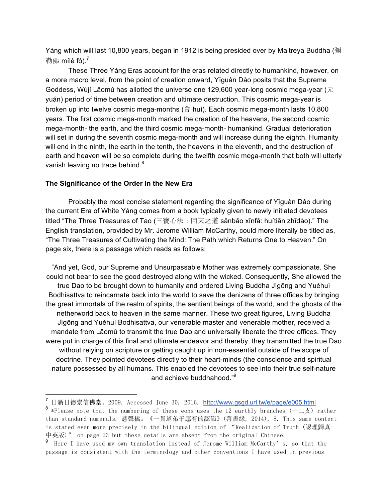Yáng which will last 10,800 years, began in 1912 is being presided over by Maitreya Buddha (彌 勒佛 mílè fó $)^7$ 

These Three Yáng Eras account for the eras related directly to humankind, however, on a more macro level, from the point of creation onward, Yīguàn Dào posits that the Supreme Goddess, Wújí Lǎomǔ has allotted the universe one 129,600 year-long cosmic mega-year ( $\overline{\pi}$ yuán) period of time between creation and ultimate destruction. This cosmic mega-year is broken up into twelve cosmic mega-months (會 huì). Each cosmic mega-month lasts 10,800 years. The first cosmic mega-month marked the creation of the heavens, the second cosmic mega-month- the earth, and the third cosmic mega-month- humankind. Gradual deterioration will set in during the seventh cosmic mega-month and will increase during the eighth. Humanity will end in the ninth, the earth in the tenth, the heavens in the eleventh, and the destruction of earth and heaven will be so complete during the twelfth cosmic mega-month that both will utterly vanish leaving no trace behind.<sup>8</sup>

#### **The Significance of the Order in the New Era**

Probably the most concise statement regarding the significance of Yīguàn Dào during the current Era of White Yáng comes from a book typically given to newly initiated devotees titled "The Three Treasures of Tao (三寶心法:回天之道 sānbǎo xīnfǎ: huítiān zhīdào)." The English translation, provided by Mr. Jerome William McCarthy, could more literally be titled as, "The Three Treasures of Cultivating the Mind: The Path which Returns One to Heaven." On page six, there is a passage which reads as follows:

"And yet, God, our Supreme and Unsurpassable Mother was extremely compassionate. She could not bear to see the good destroyed along with the wicked. Consequently, She allowed the true Dao to be brought down to humanity and ordered Living Buddha Jìgōng and Yuèhuì Bodhisattva to reincarnate back into the world to save the denizens of three offices by bringing the great immortals of the realm of spirits, the sentient beings of the world, and the ghosts of the netherworld back to heaven in the same manner. These two great figures, Living Buddha Jìgōng and Yuèhuì Bodhisattva, our venerable master and venerable mother, received a mandate from Lǎomǔ to transmit the true Dao and universally liberate the three offices. They were put in charge of this final and ultimate endeavor and thereby, they transmitted the true Dao without relying on scripture or getting caught up in non-essential outside of the scope of doctrine. They pointed devotees directly to their heart-minds (the conscience and spiritual nature possessed by all humans. This enabled the devotees to see into their true self-nature and achieve buddhahood."<sup>9</sup>

<sup>&</sup>lt;sup>7</sup> 日新日德崇信佛堂。2009. Accessed June 30, 2016. http://www.gsgd.url.tw/e/page/e005.html <sup>8</sup> \*Please note that the numbering of these eons uses the 12 earthly branches (十二支) rather than standard numerals. 慈聲橋。《一貫道弟子應有的認識》(善書緣, 2014), 8. This same content is stated even more precisely in the bilingual edition of "Realization of Truth (認理歸真-中英版)" on page 23 but these details are absent from the original Chinese.

<sup>9</sup> Here I have used my own translation instead of Jerome William McCarthy's, so that the passage is consistent with the terminology and other conventions I have used in previous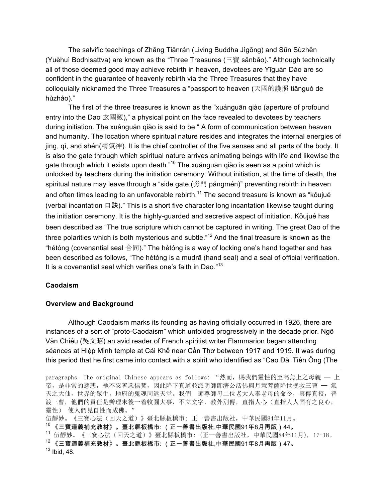The salvific teachings of Zhāng Tiānrán (Living Buddha Jìgōng) and Sūn Sùzhēn (Yuèhuì Bodhisattva) are known as the "Three Treasures (三寶 sānbǎo)." Although technically all of those deemed good may achieve rebirth in heaven, devotees are Yīguàn Dào are so confident in the guarantee of heavenly rebirth via the Three Treasures that they have colloquially nicknamed the Three Treasures a "passport to heaven (天國的護照 tiānguó de hùzhào)."

The first of the three treasures is known as the "xuánguān qiào (aperture of profound entry into the Dao 玄關竅)," a physical point on the face revealed to devotees by teachers during initiation. The xuánguān qiào is said to be " A form of communication between heaven and humanity. The location where spiritual nature resides and integrates the internal energies of jīng, qì, and shén(精氣神). It is the chief controller of the five senses and all parts of the body. It is also the gate through which spiritual nature arrives animating beings with life and likewise the gate through which it exists upon death. $10^{\circ}$  The xuánguān qiào is seen as a point which is unlocked by teachers during the initiation ceremony. Without initiation, at the time of death, the spiritual nature may leave through a "side gate (旁門 pángmén)" preventing rebirth in heaven and often times leading to an unfavorable rebirth.<sup>11</sup> The second treasure is known as "kǒujué (verbal incantation 口訣)." This is a short five character long incantation likewise taught during the initiation ceremony. It is the highly-guarded and secretive aspect of initiation. Kǒujué has been described as "The true scripture which cannot be captured in writing. The great Dao of the three polarities which is both mysterious and subtle."<sup>12</sup> And the final treasure is known as the "hétóng (covenantial seal 合同)." The hétóng is a way of locking one's hand together and has been described as follows, "The hétóng is a mudrā (hand seal) and a seal of official verification. It is a covenantial seal which verifies one's faith in Dao."<sup>13</sup>

## **Caodaism**

#### **Overview and Background**

Although Caodaism marks its founding as having officially occurred in 1926, there are instances of a sort of "proto-Caodaism" which unfolded progressively in the decade prior. Ngô Văn Chiêu (吳文昭) an avid reader of French spiritist writer Flammarion began attending séances at Hiệp Minh temple at Cái Khế near Cần Thơ between 1917 and 1919. It was during this period that he first came into contact with a spirit who identified as "Cao Đài Tiên Ông (The

paragraphs. The original Chinese appears as follows: "然而, 賜我們靈性的至高無上之母親 — 上 帝,是非常的慈悲,祂不忍善惡俱焚,因此降下真道並派明師卽濟公活佛與月慧菩薩降世挽救三曹 一 氣 天之大仙,世界的眾生,地府的鬼魂同返天堂。我們 師尊師母二位老大人奉老母的命令,真傳真授,普 渡三曹,他們的責任是辦理末後一着收圓大事,不立文字,教外別傳,直指人心(直指人人固有之良心, 靈性) 使人們見自性而成佛。"

伍靜妙。《三寶心法(回天之道)》臺北縣板橋市: 正一善書出版社,中華民國84年11月。

<sup>10</sup> 《三寶道義補充教材》。臺北縣板橋市: (正一善書出版社,中華民國91年8月再版)44。

<sup>11</sup> 伍靜妙。《三寶心法(回天之道)》臺北縣板橋市: (正一善書出版社,中華民國84年11月), 17-18。

 $^{12}$  《三寶道義補充教材》。臺北縣板橋市: (正一善書出版社,中華民國91年8月再版)47。  $13$  Ibid, 48.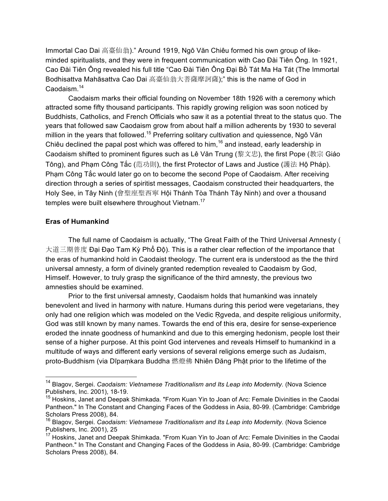Immortal Cao Dai 高臺仙翁)." Around 1919, Ngô Văn Chiêu formed his own group of likeminded spiritualists, and they were in frequent communication with Cao Đài Tiên Ông. In 1921, Cao Đài Tiên Ông revealed his full title "Cao Đài Tiên Ông Đại Bồ Tát Ma Ha Tát (The Immortal Bodhisattva Mahāsattva Cao Dai 高臺仙翁大菩薩摩訶薩);" this is the name of God in Caodaism.<sup>14</sup>

Caodaism marks their official founding on November 18th 1926 with a ceremony which attracted some fifty thousand participants. This rapidly growing religion was soon noticed by Buddhists, Catholics, and French Officials who saw it as a potential threat to the status quo. The years that followed saw Caodaism grow from about half a million adherents by 1930 to several million in the years that followed.<sup>15</sup> Preferring solitary cultivation and quiessence, Ngô Văn Chiêu declined the papal post which was offered to him,  $16$  and instead, early leadership in Caodaism shifted to prominent figures such as Lê Văn Trung (黎文忠), the first Pope (教宗 Giáo Tông), and Phạm Công Tắc (范功則), the first Protector of Laws and Justice (護法 Hộ Pháp). Phạm Công Tắc would later go on to become the second Pope of Caodaism. After receiving direction through a series of spiritist messages, Caodaism constructed their headquarters, the Holy See, in Tây Ninh (會聖座聖西寧 Hội Thánh Tòa Thánh Tây Ninh) and over a thousand temples were built elsewhere throughout Vietnam.<sup>17</sup>

#### **Eras of Humankind**

The full name of Caodaism is actually, "The Great Faith of the Third Universal Amnesty ( 大道三期普度 Đại Đạo Tam Kỳ Phổ Độ). This is a rather clear reflection of the importance that the eras of humankind hold in Caodaist theology. The current era is understood as the the third universal amnesty, a form of divinely granted redemption revealed to Caodaism by God, Himself. However, to truly grasp the significance of the third amnesty, the previous two amnesties should be examined.

Prior to the first universal amnesty, Caodaism holds that humankind was innately benevolent and lived in harmony with nature. Humans during this period were vegetarians, they only had one religion which was modeled on the Vedic Rgveda, and despite religious uniformity, God was still known by many names. Towards the end of this era, desire for sense-experience eroded the innate goodness of humankind and due to this emerging hedonism, people lost their sense of a higher purpose. At this point God intervenes and reveals Himself to humankind in a multitude of ways and different early versions of several religions emerge such as Judaism, proto-Buddhism (via Dīpaṃkara Buddha 燃燈佛 Nhiên Đăng Phật prior to the lifetime of the

 <sup>14</sup> Blagov, Sergei. *Caodaism: Vietnamese Traditionalism and Its Leap into Modernity.* (Nova Science Publishers, Inc. 2001), 18-19.

<sup>&</sup>lt;sup>15</sup> Hoskins, Janet and Deepak Shimkada. "From Kuan Yin to Joan of Arc: Female Divinities in the Caodai Pantheon." In The Constant and Changing Faces of the Goddess in Asia, 80-99. (Cambridge: Cambridge Scholars Press 2008), 84.

<sup>16</sup> Blagov, Sergei. *Caodaism: Vietnamese Traditionalism and Its Leap into Modernity.* (Nova Science Publishers, Inc. 2001), 25

<sup>&</sup>lt;sup>17</sup> Hoskins, Janet and Deepak Shimkada. "From Kuan Yin to Joan of Arc: Female Divinities in the Caodai Pantheon." In The Constant and Changing Faces of the Goddess in Asia, 80-99. (Cambridge: Cambridge Scholars Press 2008), 84.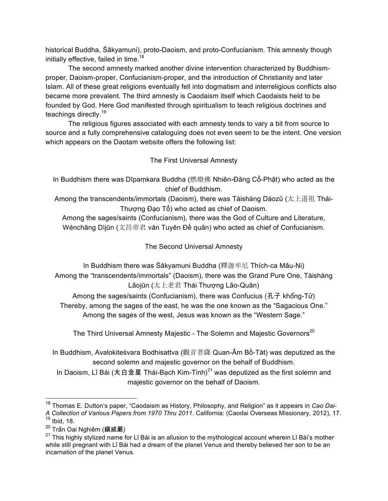historical Buddha, Śākyamuni), proto-Daoism, and proto-Confucianism. This amnesty though initially effective, failed in time.<sup>18</sup>

The second amnesty marked another divine intervention characterized by Buddhismproper, Daoism-proper, Confucianism-proper, and the introduction of Christianity and later Islam. All of these great religions eventually fell into dogmatism and interreligious conflicts also became more prevalent. The third amnesty is Caodaism itself which Caodaists held to be founded by God. Here God manifested through spiritualism to teach religious doctrines and teachings directly.<sup>19</sup>

The religious figures associated with each amnesty tends to vary a bit from source to source and a fully comprehensive cataloguing does not even seem to be the intent. One version which appears on the Daotam website offers the following list:

# The First Universal Amnesty

In Buddhism there was Dīpaṃkara Buddha (燃燈佛 Nhiên-Đăng Cổ-Phật) who acted as the chief of Buddhism.

Among the transcendents/immortals (Daoism), there was Tàishàng Dàozǔ (太上道祖 Thái-Thượng Đạo Tổ) who acted as chief of Daoism.

Among the sages/saints (Confucianism), there was the God of Culture and Literature, Wénchāng Dìjūn (文昌帝君 văn Tuyên Đế quân) who acted as chief of Confucianism.

The Second Universal Amnesty

In Buddhism there was Śākyamuni Buddha (釋迦牟尼 Thích-ca Mâu-Ni) Among the "transcendents/immortals" (Daoism), there was the Grand Pure One, Tàishàng Lǎojūn (太上老君 Thái Thượng Lão-Quân)

Among the sages/saints (Confucianism), there was Confucius (孔子 khổng-Tử) Thereby, among the sages of the east, he was the one known as the "Sagacious One." Among the sages of the west, Jesus was known as the "Western Sage."

The Third Universal Amnesty Majestic - The Solemn and Majestic Governors<sup>20</sup>

In Buddhism, Avalokiteśvara Bodhisattva (觀音菩薩 Quan-Âm Bồ-Tát) was deputized as the second solemn and majestic governor on the behalf of Buddhism.

In Daoism, Lǐ Bái (太白金星 Thái-Bach Kim-Tinh)<sup>21</sup> was deputized as the first solemn and majestic governor on the behalf of Daoism.

 <sup>18</sup> Thomas E. Dutton's paper, "Caodaism as History, Philosophy, and Religion" as it appears in *Cao Dai-A Collection of Various Papers from 1970 Thru 2011*. California: (Caodai Overseas Missionary, 2012), 17. <sup>19</sup> Ibid, 18.

 $^{20}$  Trấn Oai Nghiêm (鎮威嚴)

 $21$  This highly stylized name for Li Bái is an allusion to the mythological account wherein Li Bái's mother while still pregnant with Lǐ Bái had a dream of the planet Venus and thereby believed her son to be an incarnation of the planet Venus.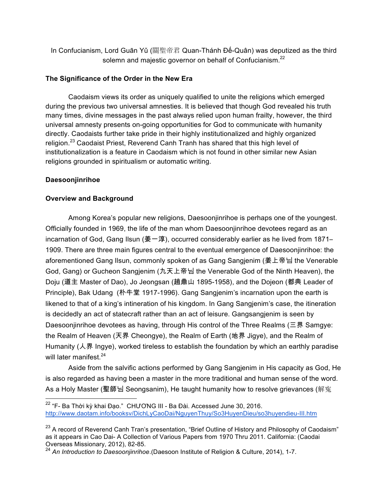In Confucianism, Lord Guān Yǔ (關聖帝君 Quan-Thánh Đế-Quân) was deputized as the third solemn and majestic governor on behalf of Confucianism.<sup>22</sup>

# **The Significance of the Order in the New Era**

Caodaism views its order as uniquely qualified to unite the religions which emerged during the previous two universal amnesties. It is believed that though God revealed his truth many times, divine messages in the past always relied upon human frailty, however, the third universal amnesty presents on-going opportunities for God to communicate with humanity directly. Caodaists further take pride in their highly institutionalized and highly organized religion.<sup>23</sup> Caodaist Priest, Reverend Canh Tranh has shared that this high level of institutionalization is a feature in Caodaism which is not found in other similar new Asian religions grounded in spiritualism or automatic writing.

# **Daesoonjinrihoe**

# **Overview and Background**

Among Korea's popular new religions, Daesoonjinrihoe is perhaps one of the youngest. Officially founded in 1969, the life of the man whom Daesoonjinrihoe devotees regard as an incarnation of God, Gang Ilsun (姜一淳), occurred considerably earlier as he lived from 1871– 1909. There are three main figures central to the eventual emergence of Daesoonjinrihoe: the aforementioned Gang Ilsun, commonly spoken of as Gang Sangjenim (姜上帝님 the Venerable God, Gang) or Gucheon Sangjenim (九天上帝님 the Venerable God of the Ninth Heaven), the Doju (道主 Master of Dao), Jo Jeongsan (趙鼎山 1895-1958), and the Dojeon (都典 Leader of Principle), Bak Udang (朴牛堂 1917-1996). Gang Sangjenim's incarnation upon the earth is likened to that of a king's intineration of his kingdom. In Gang Sangjenim's case, the itineration is decidedly an act of statecraft rather than an act of leisure. Gangsangjenim is seen by Daesoonjinrihoe devotees as having, through His control of the Three Realms (三界 Samgye: the Realm of Heaven (天界 Cheongye), the Realm of Earth (地界 Jigye), and the Realm of Humanity (人界 Ingye), worked tireless to establish the foundation by which an earthly paradise will later manifest. $24$ 

Aside from the salvific actions performed by Gang Sangjenim in His capacity as God, He is also regarded as having been a master in the more traditional and human sense of the word. As a Holy Master (聖師님 Seongsanim), He taught humanity how to resolve grievances (解寃

<sup>&</sup>lt;sup>22</sup> "F- Ba Thời kỳ khai Đạo." CHƯƠNG III - Ba Đài. Accessed June 30, 2016. http://www.daotam.info/booksv/DichLyCaoDai/NguyenThuy/So3HuyenDieu/so3huyendieu-III.htm

 $^{23}$  A record of Reverend Canh Tran's presentation, "Brief Outline of History and Philosophy of Caodaism" as it appears in Cao Dai- A Collection of Various Papers from 1970 Thru 2011. California: (Caodai Overseas Missionary, 2012), 82-85.

<sup>24</sup> *An Introduction to Daesoonjinrihoe*.(Daesoon Institute of Religion & Culture, 2014), 1-7.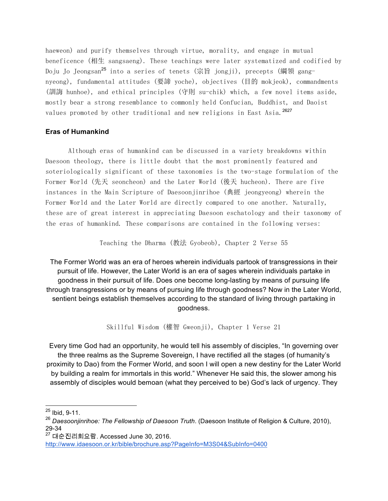haeweon) and purify themselves through virtue, morality, and engage in mutual beneficence (相生 sangsaeng). These teachings were later systematized and codified by Doju Jo Jeongsan<sup>25</sup> into a series of tenets (宗旨 jongji), precepts (綱領 gangnyeong), fundamental attitudes (要諦 yoche), objectives (目的 mokjeok), commandments (訓誨 hunhoe), and ethical principles (守則 su-chik) which, a few novel items aside, mostly bear a strong resemblance to commonly held Confucian, Buddhist, and Daoist values promoted by other traditional and new religions in East Asia.<sup>2627</sup>

#### **Eras of Humankind**

Although eras of humankind can be discussed in a variety breakdowns within Daesoon theology, there is little doubt that the most prominently featured and soteriologically significant of these taxonomies is the two-stage formulation of the Former World (先天 seoncheon) and the Later World (後天 hucheon). There are five instances in the Main Scripture of Daesoonjinrihoe (典經 jeongyeong) wherein the Former World and the Later World are directly compared to one another. Naturally, these are of great interest in appreciating Daesoon eschatology and their taxonomy of the eras of humankind. These comparisons are contained in the following verses:

Teaching the Dharma (教法 Gyobeob), Chapter 2 Verse 55

The Former World was an era of heroes wherein individuals partook of transgressions in their pursuit of life. However, the Later World is an era of sages wherein individuals partake in goodness in their pursuit of life. Does one become long-lasting by means of pursuing life through transgressions or by means of pursuing life through goodness? Now in the Later World, sentient beings establish themselves according to the standard of living through partaking in goodness.

Skillful Wisdom (權智 Gweonji), Chapter 1 Verse 21

Every time God had an opportunity, he would tell his assembly of disciples, "In governing over the three realms as the Supreme Sovereign, I have rectified all the stages (of humanity's proximity to Dao) from the Former World, and soon I will open a new destiny for the Later World by building a realm for immortals in this world." Whenever He said this, the slower among his assembly of disciples would bemoan (what they perceived to be) God's lack of urgency. They

 <sup>25</sup> Ibid, 9-11.

<sup>26</sup> *Daesoonjinrihoe: The Fellowship of Daesoon Truth*. (Daesoon Institute of Religion & Culture, 2010), 29-34

<sup>27</sup> 대순진리회요람. Accessed June 30, 2016.

http://www.idaesoon.or.kr/bible/brochure.asp?PageInfo=M3S04&SubInfo=0400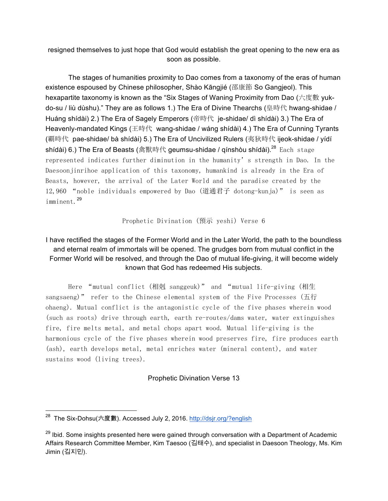resigned themselves to just hope that God would establish the great opening to the new era as soon as possible.

The stages of humanities proximity to Dao comes from a taxonomy of the eras of human existence espoused by Chinese philosopher, Shào Kāngjié (邵康節 So Gangjeol). This hexapartite taxonomy is known as the "Six Stages of Waning Proximity from Dao (六度數 yukdo-su / liù dùshu)." They are as follows 1.) The Era of Divine Thearchs (皇時代 hwang-shidae / Huáng shídài) 2.) The Era of Sagely Emperors (帝時代 je-shidae/ dì shídài) 3.) The Era of Heavenly-mandated Kings (王時代 wang-shidae / wáng shídài) 4.) The Era of Cunning Tyrants (覇時代 pae-shidae/ bà shídài) 5.) The Era of Uncivilized Rulers (夷狄時代 ijeok-shidae / yídí shídài) 6.) The Era of Beasts (禽獸時代 geumsu-shidae / qínshòu shídài).<sup>28</sup> Each stage represented indicates further diminution in the humanity's strength in Dao. In the Daesoonjinrihoe application of this taxonomy, humankind is already in the Era of Beasts, however, the arrival of the Later World and the paradise created by the 12,960 "noble individuals empowered by Dao (道通君子 dotong-kunja)" is seen as imminent.<sup>29</sup>

Prophetic Divination (預示 yeshi) Verse 6

# I have rectified the stages of the Former World and in the Later World, the path to the boundless and eternal realm of immortals will be opened. The grudges born from mutual conflict in the Former World will be resolved, and through the Dao of mutual life-giving, it will become widely known that God has redeemed His subjects.

Here "mutual conflict (相剋 sanggeuk)" and "mutual life-giving (相生 sangsaeng)" refer to the Chinese elemental system of the Five Processes (五行) ohaeng). Mutual conflict is the antagonistic cycle of the five phases wherein wood (such as roots) drive through earth, earth re-routes/dams water, water extinguishes fire, fire melts metal, and metal chops apart wood. Mutual life-giving is the harmonious cycle of the five phases wherein wood preserves fire, fire produces earth (ash), earth develops metal, metal enriches water (mineral content), and water sustains wood (living trees).

## Prophetic Divination Verse 13

<sup>&</sup>lt;sup>28</sup> The Six-Dohsu(六度數). Accessed July 2, 2016. http://dsjr.org/?english

 $^{29}$  Ibid. Some insights presented here were gained through conversation with a Department of Academic Affairs Research Committee Member, Kim Taesoo (김태수), and specialist in Daesoon Theology, Ms. Kim Jimin (김지민).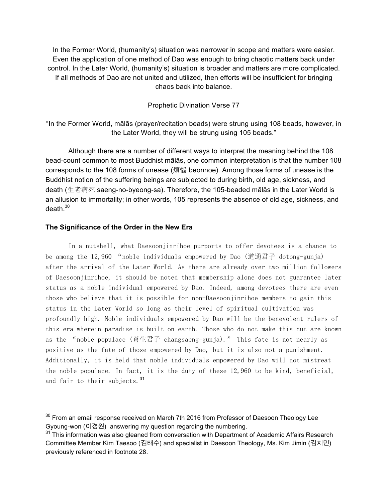In the Former World, (humanity's) situation was narrower in scope and matters were easier. Even the application of one method of Dao was enough to bring chaotic matters back under control. In the Later World, (humanity's) situation is broader and matters are more complicated. If all methods of Dao are not united and utilized, then efforts will be insufficient for bringing chaos back into balance.

Prophetic Divination Verse 77

"In the Former World, mālās (prayer/recitation beads) were strung using 108 beads, however, in the Later World, they will be strung using 105 beads."

Although there are a number of different ways to interpret the meaning behind the 108 bead-count common to most Buddhist mālās, one common interpretation is that the number 108 corresponds to the 108 forms of unease (煩惱 beonnoe). Among those forms of unease is the Buddhist notion of the suffering beings are subjected to during birth, old age, sickness, and death (生老病死 saeng-no-byeong-sa). Therefore, the 105-beaded mālās in the Later World is an allusion to immortality; in other words, 105 represents the absence of old age, sickness, and death. $30$ 

#### **The Significance of the Order in the New Era**

In a nutshell, what Daesoonjinrihoe purports to offer devotees is a chance to be among the 12,960 "noble individuals empowered by Dao (道通君子 dotong-gunja) after the arrival of the Later World. As there are already over two million followers of Daesoonjinrihoe, it should be noted that membership alone does not guarantee later status as a noble individual empowered by Dao. Indeed, among devotees there are even those who believe that it is possible for non-Daesoonjinrihoe members to gain this status in the Later World so long as their level of spiritual cultivation was profoundly high. Noble individuals empowered by Dao will be the benevolent rulers of this era wherein paradise is built on earth. Those who do not make this cut are known as the "noble populace (蒼生君子 changsaeng-gunja)." This fate is not nearly as positive as the fate of those empowered by Dao, but it is also not a punishment. Additionally, it is held that noble individuals empowered by Dao will not mistreat the noble populace. In fact, it is the duty of these 12,960 to be kind, beneficial, and fair to their subjects.<sup>31</sup>

<sup>&</sup>lt;sup>30</sup> From an email response received on March 7th 2016 from Professor of Daesoon Theology Lee Gyoung-won (이경원) answering my question regarding the numbering.

 $31$  This information was also gleaned from conversation with Department of Academic Affairs Research Committee Member Kim Taesoo (김태수) and specialist in Daesoon Theology, Ms. Kim Jimin (김지민) previously referenced in footnote 28.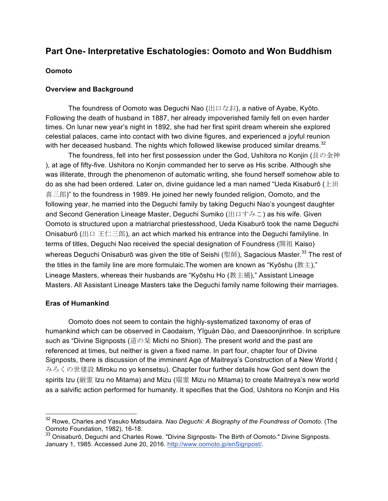# **Part One- Interpretative Eschatologies: Oomoto and Won Buddhism**

## **Oomoto**

## **Overview and Background**

The foundress of Oomoto was Deguchi Nao (出口なお), a native of Ayabe, Kyōto. Following the death of husband in 1887, her already impoverished family fell on even harder times. On lunar new year's night in 1892, she had her first spirit dream wherein she explored celestial palaces, came into contact with two divine figures, and experienced a joyful reunion with her deceased husband. The nights which followed likewise produced similar dreams. $32$ 

The foundress, fell into her first possession under the God, Ushitora no Konjin (艮の金神 ), at age of fifty-five. Ushitora no Konjin commanded her to serve as His scribe. Although she was illiterate, through the phenomenon of automatic writing, she found herself somehow able to do as she had been ordered. Later on, divine guidance led a man named "Ueda Kisaburō ( $\pm \mathbb{H}$ 喜三郎)" to the foundress in 1989. He joined her newly founded religion, Oomoto, and the following year, he married into the Deguchi family by taking Deguchi Nao's youngest daughter and Second Generation Lineage Master, Dequchi Sumiko (出口すみこ) as his wife. Given Oomoto is structured upon a matriarchal priestesshood, Ueda Kisaburō took the name Deguchi Onisaburō (出口 王仁三郎), an act which marked his entrance into the Deguchi familyline. In terms of titles, Deguchi Nao received the special designation of Foundress (開祖 Kaiso) whereas Deguchi Onisaburō was given the title of Seishi (聖師), Sagacious Master.<sup>33</sup> The rest of the titles in the family line are more formulaic. The women are known as "Kyōshu (教主)," Lineage Masters, whereas their husbands are "Kyōshu Ho (教主補)," Assistant Lineage Masters. All Assistant Lineage Masters take the Deguchi family name following their marriages.

## **Eras of Humankind**

Oomoto does not seem to contain the highly-systematized taxonomy of eras of humankind which can be observed in Caodaism, Yīguàn Dào, and Daesoonjinrihoe. In scripture such as "Divine Signposts (道の栞 Michi no Shiori). The present world and the past are referenced at times, but neither is given a fixed name. In part four, chapter four of Divine Signposts, there is discussion of the imminent Age of Maitreya's Construction of a New World ( みろくの世建設 Miroku no yo kensetsu). Chapter four further details how God sent down the spirits Izu (厳霊 Izu no Mitama) and Mizu (瑞霊 Mizu no Mitama) to create Maitreya's new world as a salvific action performed for humanity. It specifies that the God, Ushitora no Konjin and His

 <sup>32</sup> Rowe, Charles and Yasuko Matsudaira. *Nao Deguchi: A Biography of the Foundress of Oomoto*. (The Oomoto Foundation, 1982), 16-18.

<sup>&</sup>lt;sup>33</sup> Onisaburō, Deguchi and Charles Rowe. "Divine Signposts- The Birth of Oomoto." Divine Signposts. January 1, 1985. Accessed June 20, 2016. http://www.oomoto.jp/enSignpost/.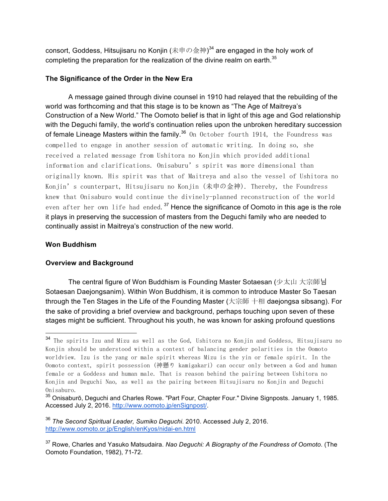consort, Goddess, Hitsujisaru no Konjin (未申の金神) $^{34}$  are engaged in the holy work of completing the preparation for the realization of the divine realm on earth. $35$ 

## **The Significance of the Order in the New Era**

A message gained through divine counsel in 1910 had relayed that the rebuilding of the world was forthcoming and that this stage is to be known as "The Age of Maitreya's Construction of a New World." The Oomoto belief is that in light of this age and God relationship with the Deguchi family, the world's continuation relies upon the unbroken hereditary succession of female Lineage Masters within the family.<sup>36</sup> On October fourth 1914, the Foundress was compelled to engage in another session of automatic writing. In doing so, she received a related message from Ushitora no Konjin which provided additional information and clarifications. Onisaburu's spirit was more dimensional than originally known. His spirit was that of Maitreya and also the vessel of Ushitora no Konjin's counterpart, Hitsujisaru no Konjin (未申の金神). Thereby, the Foundress knew that Onisaburo would continue the divinely-planned reconstruction of the world even after her own life had ended.<sup>37</sup> Hence the significance of Oomoto in this age is the role it plays in preserving the succession of masters from the Deguchi family who are needed to continually assist in Maitreya's construction of the new world.

## **Won Buddhism**

# **Overview and Background**

The central figure of Won Buddhism is Founding Master Sotaesan (少太山 大宗師님 Sotaesan Daejongsanim). Within Won Buddhism, it is common to introduce Master So Taesan through the Ten Stages in the Life of the Founding Master (大宗師 十相 daejongsa sibsang). For the sake of providing a brief overview and background, perhaps touching upon seven of these stages might be sufficient. Throughout his youth, he was known for asking profound questions

 <sup>34</sup> The spirits Izu and Mizu as well as the God, Ushitora no Konjin and Goddess, Hitsujisaru no Konjin should be understood within a context of balancing gender polarities in the Oomoto worldview. Izu is the yang or male spirit whereas Mizu is the yin or female spirit. In the Oomoto context, spirit possession (神懸り kamigakari) can occur only between a God and human female or a Goddess and human male. That is reason behind the pairing between Ushitora no Konjin and Deguchi Nao, as well as the pairing between Hitsujisaru no Konjin and Deguchi Onisaburo.

<sup>35</sup> Onisaburō, Deguchi and Charles Rowe. "Part Four, Chapter Four." Divine Signposts. January 1, 1985. Accessed July 2, 2016. http://www.oomoto.jp/enSignpost/.

<sup>36</sup> *The Second Spiritual Leader, Sumiko Deguchi*. 2010. Accessed July 2, 2016. http://www.oomoto.or.jp/English/enKyos/nidai-en.html

<sup>37</sup> Rowe, Charles and Yasuko Matsudaira. *Nao Deguchi: A Biography of the Foundress of Oomoto*. (The Oomoto Foundation, 1982), 71-72.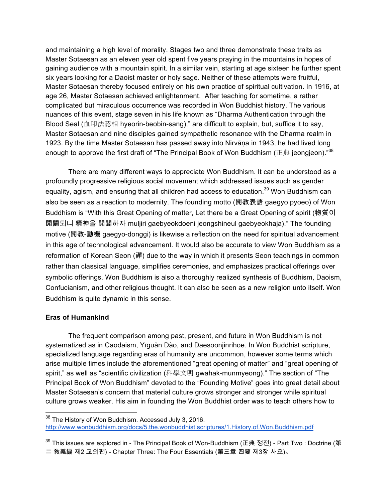and maintaining a high level of morality. Stages two and three demonstrate these traits as Master Sotaesan as an eleven year old spent five years praying in the mountains in hopes of gaining audience with a mountain spirit. In a similar vein, starting at age sixteen he further spent six years looking for a Daoist master or holy sage. Neither of these attempts were fruitful, Master Sotaesan thereby focused entirely on his own practice of spiritual cultivation. In 1916, at age 26, Master Sotaesan achieved enlightenment. After teaching for sometime, a rather complicated but miraculous occurrence was recorded in Won Buddhist history. The various nuances of this event, stage seven in his life known as "Dharma Authentication through the Blood Seal (血印法認相 hyeorin-beobin-sang)," are difficult to explain, but, suffice it to say, Master Sotaesan and nine disciples gained sympathetic resonance with the Dharma realm in 1923. By the time Master Sotaesan has passed away into Nirvāṇa in 1943, he had lived long enough to approve the first draft of "The Principal Book of Won Buddhism ( $\mathbb{E} \#$  jeongjeon)."<sup>38</sup>

There are many different ways to appreciate Won Buddhism. It can be understood as a profoundly progressive religious social movement which addressed issues such as gender equality, agism, and ensuring that all children had access to education.<sup>39</sup> Won Buddhism can also be seen as a reaction to modernity. The founding motto (開教表語 gaegyo pyoeo) of Won Buddhism is "With this Great Opening of matter, Let there be a Great Opening of spirit (物質이 開闢되니 精神을 開闢하자 muljiri gaebyeokdoeni jeongshineul gaebyeokhaja)." The founding motive (開教-動機 gaegyo-donggi) is likewise a reflection on the need for spiritual advancement in this age of technological advancement. It would also be accurate to view Won Buddhism as a reformation of Korean Seon (禪) due to the way in which it presents Seon teachings in common rather than classical language, simplifies ceremonies, and emphasizes practical offerings over symbolic offerings. Won Buddhism is also a thoroughly realized synthesis of Buddhism, Daoism, Confucianism, and other religious thought. It can also be seen as a new religion unto itself. Won Buddhism is quite dynamic in this sense.

## **Eras of Humankind**

The frequent comparison among past, present, and future in Won Buddhism is not systematized as in Caodaism, Yīguàn Dào, and Daesoonjinrihoe. In Won Buddhist scripture, specialized language regarding eras of humanity are uncommon, however some terms which arise multiple times include the aforementioned "great opening of matter" and "great opening of spirit," as well as "scientific civilization (科學文明 gwahak-munmyeong)." The section of "The Principal Book of Won Buddhism" devoted to the "Founding Motive" goes into great detail about Master Sotaesan's concern that material culture grows stronger and stronger while spiritual culture grows weaker. His aim in founding the Won Buddhist order was to teach others how to

 <sup>38</sup> The History of Won Buddhism. Accessed July 3, 2016. http://www.wonbuddhism.org/docs/5.the.wonbuddhist.scriptures/1.History.of.Won.Buddhism.pdf

<sup>39</sup> This issues are explored in - The Principal Book of Won-Buddhism (正典 정전) - Part Two : Doctrine (第 二 敎義編 제2 교의편) - Chapter Three: The Four Essentials (第三章 四要 제3장 사요)。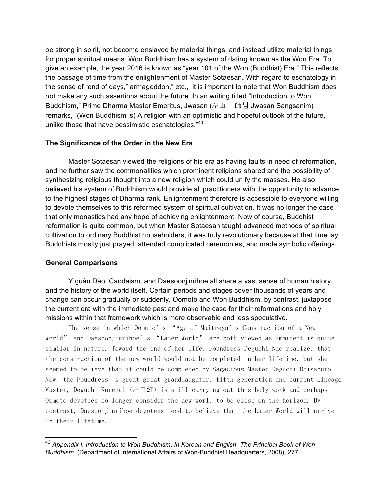be strong in spirit, not become enslaved by material things, and instead utilize material things for proper spiritual means. Won Buddhism has a system of dating known as the Won Era. To give an example, the year 2016 is known as "year 101 of the Won (Buddhist) Era." This reflects the passage of time from the enlightenment of Master Sotaesan. With regard to eschatology in the sense of "end of days," armageddon," etc., it is important to note that Won Buddhism does not make any such assertions about the future. In an writing titled "Introduction to Won Buddhism," Prime Dharma Master Emeritus, Jwasan (左山 上師님 Jwasan Sangsanim) remarks, "(Won Buddhism is) A religion with an optimistic and hopeful outlook of the future, unlike those that have pessimistic eschatologies."<sup>40</sup>

## **The Significance of the Order in the New Era**

Master Sotaesan viewed the religions of his era as having faults in need of reformation, and he further saw the commonalities which prominent religions shared and the possibility of synthesizing religious thought into a new religion which could unify the masses. He also believed his system of Buddhism would provide all practitioners with the opportunity to advance to the highest stages of Dharma rank. Enlightenment therefore is accessible to everyone willing to devote themselves to this reformed system of spiritual cultivation. It was no longer the case that only monastics had any hope of achieving enlightenment. Now of course, Buddhist reformation is quite common, but when Master Sotaesan taught advanced methods of spiritual cultivation to ordinary Buddhist householders, it was truly revolutionary because at that time lay Buddhists mostly just prayed, attended complicated ceremonies, and made symbolic offerings.

# **General Comparisons**

Yīguàn Dào, Caodaism, and Daesoonjinrihoe all share a vast sense of human history and the history of the world itself. Certain periods and stages cover thousands of years and change can occur gradually or suddenly. Oomoto and Won Buddhism, by contrast, juxtapose the current era with the immediate past and make the case for their reformations and holy missions within that framework which is more observable and less speculative.

The sense in which Oomoto's "Age of Maitreya's Construction of a New World" and Daesoonjinrihoe's "Later World" are both viewed as imminent is quite similar in nature. Toward the end of her life, Foundress Deguchi Nao realized that the construction of the new world would not be completed in her lifetime, but she seemed to believe that it could be completed by Sagacious Master Deguchi Onisaburo. Now, the Foundress's great-great-granddaughter, fifth-generation and current Lineage Master, Deguchi Kurenai (出口紅) is still carrying out this holy work and perhaps Oomoto devotees no longer consider the new world to be close on the horizon. By contrast, Daesoonjinrihoe devotees tend to believe that the Later World will arrive in their lifetime.

 <sup>40</sup> *Appendix I. Introduction to Won Buddhism*. *In Korean and English- The Principal Book of Won-Buddhism*. (Department of International Affairs of Won-Buddhist Headquarters, 2008), 277.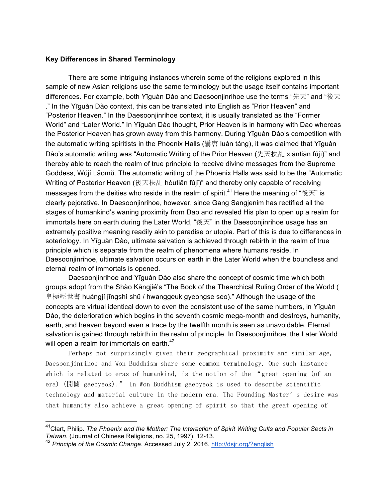## **Key Differences in Shared Terminology**

There are some intriguing instances wherein some of the religions explored in this sample of new Asian religions use the same terminology but the usage itself contains important differences. For example, both Yīguàn Dào and Daesoonjinrihoe use the terms "先天" and "後天 ." In the Yīguàn Dào context, this can be translated into English as "Prior Heaven" and "Posterior Heaven." In the Daesoonjinrihoe context, it is usually translated as the "Former World" and "Later World." In Yīguàn Dào thought, Prior Heaven is in harmony with Dao whereas the Posterior Heaven has grown away from this harmony. During Yīguàn Dào's competition with the automatic writing spiritists in the Phoenix Halls (鸞唐 luán táng), it was claimed that Yīguàn Dào's automatic writing was "Automatic Writing of the Prior Heaven (先天扶乩 xiāntiān fújī)" and thereby able to reach the realm of true principle to receive divine messages from the Supreme Goddess, Wújí Lǎomǔ. The automatic writing of the Phoenix Halls was said to be the "Automatic Writing of Posterior Heaven (後天扶乩 hòutiān fújī)" and thereby only capable of receiving messages from the deities who reside in the realm of spirit.<sup>41</sup> Here the meaning of "後天" is clearly pejorative. In Daesoonjinrihoe, however, since Gang Sangjenim has rectified all the stages of humankind's waning proximity from Dao and revealed His plan to open up a realm for immortals here on earth during the Later World, "後天" in the Daesoonjinrihoe usage has an extremely positive meaning readily akin to paradise or utopia. Part of this is due to differences in soteriology. In Yīguàn Dào, ultimate salvation is achieved through rebirth in the realm of true principle which is separate from the realm of phenomena where humans reside. In Daesoonjinrihoe, ultimate salvation occurs on earth in the Later World when the boundless and eternal realm of immortals is opened.

Daesoonjinrihoe and Yīguàn Dào also share the concept of cosmic time which both groups adopt from the Shào Kāngjié's "The Book of the Thearchical Ruling Order of the World ( 皇極經世書 huángjí jīngshì shū / hwanggeuk gyeongse seo)." Although the usage of the concepts are virtual identical down to even the consistent use of the same numbers, in Yīguàn Dào, the deterioration which begins in the seventh cosmic mega-month and destroys, humanity, earth, and heaven beyond even a trace by the twelfth month is seen as unavoidable. Eternal salvation is gained through rebirth in the realm of principle. In Daesoonjinrihoe, the Later World will open a realm for immortals on earth.<sup>42</sup>

Perhaps not surprisingly given their geographical proximity and similar age, Daesoonjinrihoe and Won Buddhism share some common terminology. One such instance which is related to eras of humankind, is the notion of the "great opening (of an era) (開闢 gaebyeok)." In Won Buddhism gaebyeok is used to describe scientific technology and material culture in the modern era. The Founding Master's desire was that humanity also achieve a great opening of spirit so that the great opening of

 <sup>41</sup>Clart, Philip. *The Phoenix and the Mother: The Interaction of Spirit Writing Cults and Popular Sects in Taiwan*. (Journal of Chinese Religions, no. 25, 1997), 12-13.

<sup>42</sup> *Principle of the Cosmic Change*. Accessed July 2, 2016. http://dsjr.org/?english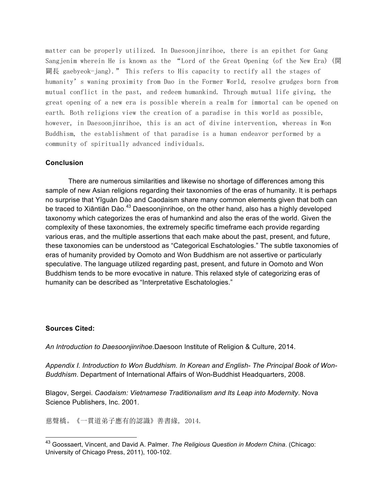matter can be properly utilized. In Daesoonjinrihoe, there is an epithet for Gang Sangjenim wherein He is known as the "Lord of the Great Opening (of the New Era) (開 闢長 gaebyeok-jang)." This refers to His capacity to rectify all the stages of humanity's waning proximity from Dao in the Former World, resolve grudges born from mutual conflict in the past, and redeem humankind. Through mutual life giving, the great opening of a new era is possible wherein a realm for immortal can be opened on earth. Both religions view the creation of a paradise in this world as possible, however, in Daesoonjinrihoe, this is an act of divine intervention, whereas in Won Buddhism, the establishment of that paradise is a human endeavor performed by a community of spiritually advanced individuals.

#### **Conclusion**

There are numerous similarities and likewise no shortage of differences among this sample of new Asian religions regarding their taxonomies of the eras of humanity. It is perhaps no surprise that Yīguàn Dào and Caodaism share many common elements given that both can be traced to Xiāntiān Dào.<sup>43</sup> Daesoonjinrihoe, on the other hand, also has a highly developed taxonomy which categorizes the eras of humankind and also the eras of the world. Given the complexity of these taxonomies, the extremely specific timeframe each provide regarding various eras, and the multiple assertions that each make about the past, present, and future, these taxonomies can be understood as "Categorical Eschatologies." The subtle taxonomies of eras of humanity provided by Oomoto and Won Buddhism are not assertive or particularly speculative. The language utilized regarding past, present, and future in Oomoto and Won Buddhism tends to be more evocative in nature. This relaxed style of categorizing eras of humanity can be described as "Interpretative Eschatologies."

#### **Sources Cited:**

*An Introduction to Daesoonjinrihoe.*Daesoon Institute of Religion & Culture, 2014.

*Appendix I. Introduction to Won Buddhism. In Korean and English- The Principal Book of Won-Buddhism*. Department of International Affairs of Won-Buddhist Headquarters, 2008.

Blagov, Sergei. *Caodaism: Vietnamese Traditionalism and Its Leap into Modernity*. Nova Science Publishers, Inc. 2001.

慈聲橋。《一貫道弟子應有的認識》善書緣, 2014.

 <sup>43</sup> Goossaert, Vincent, and David A. Palmer. *The Religious Question in Modern China*. (Chicago: University of Chicago Press, 2011), 100-102.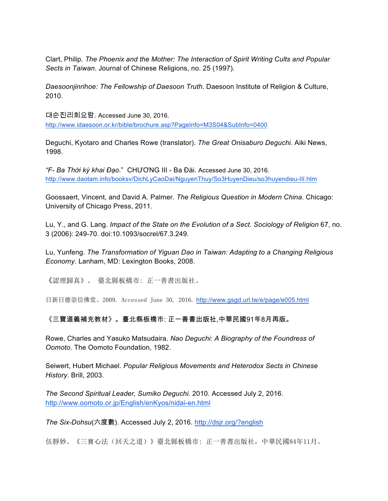Clart, Philip. *The Phoenix and the Mother: The Interaction of Spirit Writing Cults and Popular Sects in Taiwan*. Journal of Chinese Religions, no. 25 (1997).

*Daesoonjinrihoe: The Fellowship of Daesoon Truth*. Daesoon Institute of Religion & Culture, 2010.

대순진리회요람. Accessed June 30, 2016. http://www.idaesoon.or.kr/bible/brochure.asp?PageInfo=M3S04&SubInfo=0400

Deguchi, Kyotaro and Charles Rowe (translator). *The Great Onisaburo Deguchi.* Aiki News, 1998.

*"F- Ba Thời kỳ khai Đạo*." CHƯƠNG III - Ba Đài. Accessed June 30, 2016. http://www.daotam.info/booksv/DichLyCaoDai/NguyenThuy/So3HuyenDieu/so3huyendieu-III.htm

Goossaert, Vincent, and David A. Palmer. *The Religious Question in Modern China*. Chicago: University of Chicago Press, 2011.

Lu, Y., and G. Lang. *Impact of the State on the Evolution of a Sect*. *Sociology of Religion* 67, no. 3 (2006): 249-70. doi:10.1093/socrel/67.3.249.

Lu, Yunfeng. *The Transformation of Yiguan Dao in Taiwan: Adapting to a Changing Religious Economy*. Lanham, MD: Lexington Books, 2008.

《認理歸真》。 臺北縣板橋市: 正一善書出版社。

日新日德崇信佛堂。2009. Accessed June 30, 2016. http://www.gsgd.url.tw/e/page/e005.html

《三寶道義補充教材》。臺北縣板橋市: 正一善書出版社,中華民國91年8月再版。

Rowe, Charles and Yasuko Matsudaira. *Nao Deguchi: A Biography of the Foundress of Oomoto.* The Oomoto Foundation, 1982.

Seiwert, Hubert Michael. *Popular Religious Movements and Heterodox Sects in Chinese History*. Brill, 2003.

*The Second Spiritual Leader, Sumiko Deguchi*. 2010. Accessed July 2, 2016. http://www.oomoto.or.jp/English/enKyos/nidai-en.html

*The Six-Dohsu*(六度數). Accessed July 2, 2016. http://dsjr.org/?english

伍靜妙。《三寶心法(回天之道)》臺北縣板橋市: 正一善書出版社,中華民國84年11月。